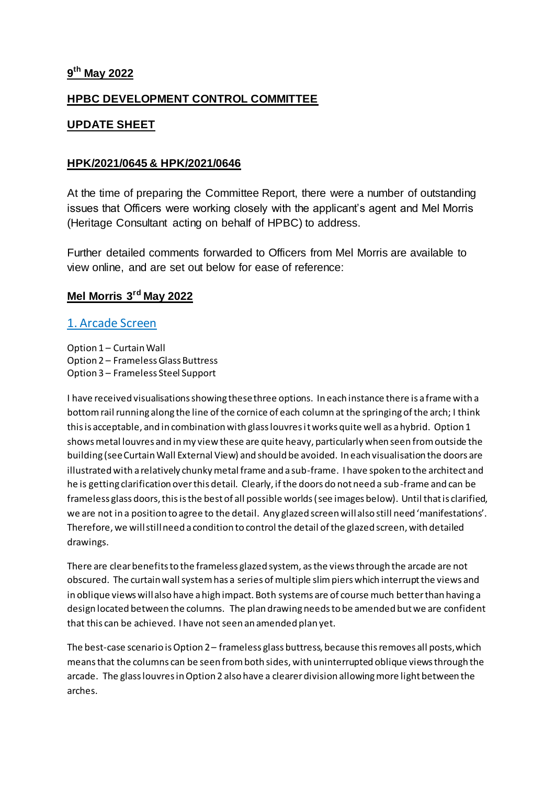## **9 th May 2022**

## **HPBC DEVELOPMENT CONTROL COMMITTEE**

## **UPDATE SHEET**

### **HPK/2021/0645 & HPK/2021/0646**

At the time of preparing the Committee Report, there were a number of outstanding issues that Officers were working closely with the applicant's agent and Mel Morris (Heritage Consultant acting on behalf of HPBC) to address.

Further detailed comments forwarded to Officers from Mel Morris are available to view online, and are set out below for ease of reference:

## **Mel Morris 3rd May 2022**

### 1. Arcade Screen

Option 1 – Curtain Wall Option 2 – Frameless Glass Buttress Option 3 – Frameless Steel Support

I have received visualisations showing these three options. In each instance there is a frame with a bottom rail running along the line of the cornice of each column at the springing of the arch; I think this is acceptable, and in combination with glass louvres it works quite well as a hybrid. Option 1 shows metal louvres and in my view these are quite heavy, particularly when seen from outside the building (see Curtain Wall External View) and should be avoided. In each visualisation the doors are illustrated with a relatively chunky metal frame and a sub-frame. I have spoken to the architect and he is getting clarification over this detail. Clearly, if the doors do not need a sub-frame and can be frameless glass doors, this is the best of all possible worlds (see images below). Until that is clarified, we are not in a position to agree to the detail. Any glazed screen will also still need 'manifestations'. Therefore, we will still need a condition to control the detail of the glazed screen, with detailed drawings.

There are clear benefits to the frameless glazed system, as the views through the arcade are not obscured. The curtain wall system has a series of multiple slim piers which interrupt the views and in oblique views will also have a high impact. Both systems are of course much better than having a design located between the columns. The plan drawing needs to be amended but we are confident that this can be achieved. I have not seen an amended plan yet.

The best-case scenario is Option 2 – frameless glass buttress, because this removes all posts, which means that the columns can be seen from both sides, with uninterrupted oblique views through the arcade. The glass louvres in Option 2 also have a clearer division allowing more light between the arches.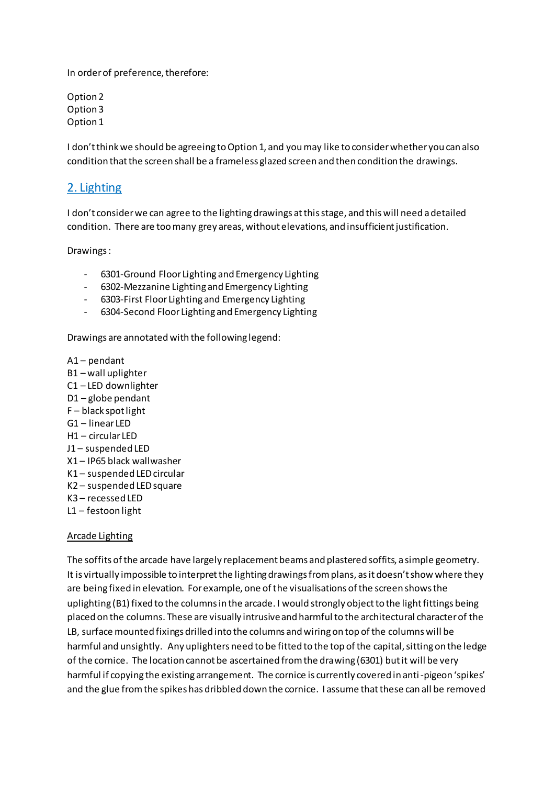In order of preference, therefore:

Option 2 Option 3 Option 1

I don't think we should be agreeing to Option 1, and you may like to consider whether you can also condition that the screen shall be a frameless glazed screen and then condition the drawings.

## 2. Lighting

I don't consider we can agree to the lighting drawings at this stage, and this will need a detailed condition. There are too many grey areas, without elevations, and insufficient justification.

Drawings :

- 6301-Ground Floor Lighting and Emergency Lighting
- 6302-Mezzanine Lighting and Emergency Lighting
- 6303-First Floor Lighting and Emergency Lighting
- 6304-Second Floor Lighting and Emergency Lighting

Drawings are annotated with the following legend:

A1 – pendant B1 – wall uplighter C1 – LED downlighter D1 – globe pendant F – black spot light G1 – linear LED H1 – circular LED J1 – suspended LED X1 – IP65 black wallwasher K1 – suspended LED circular K2 – suspended LED square K3 – recessed LED L1 – festoon light

#### Arcade Lighting

The soffits of the arcade have largely replacement beams and plastered soffits, a simple geometry. It is virtually impossible to interpret the lighting drawings from plans, as it doesn't show where they are being fixed in elevation. For example, one of the visualisations of the screen shows the uplighting (B1) fixed to the columns in the arcade. I would strongly object to the light fittings being placed on the columns. These are visually intrusive and harmful to the architectural character of the LB, surface mounted fixings drilled into the columns and wiring on top of the columns will be harmful and unsightly. Any uplighters need to be fitted to the top of the capital, sitting on the ledge of the cornice. The location cannot be ascertained from the drawing (6301) but it will be very harmful if copying the existing arrangement. The cornice is currently covered in anti-pigeon 'spikes' and the glue from the spikes has dribbled down the cornice. I assume that these can all be removed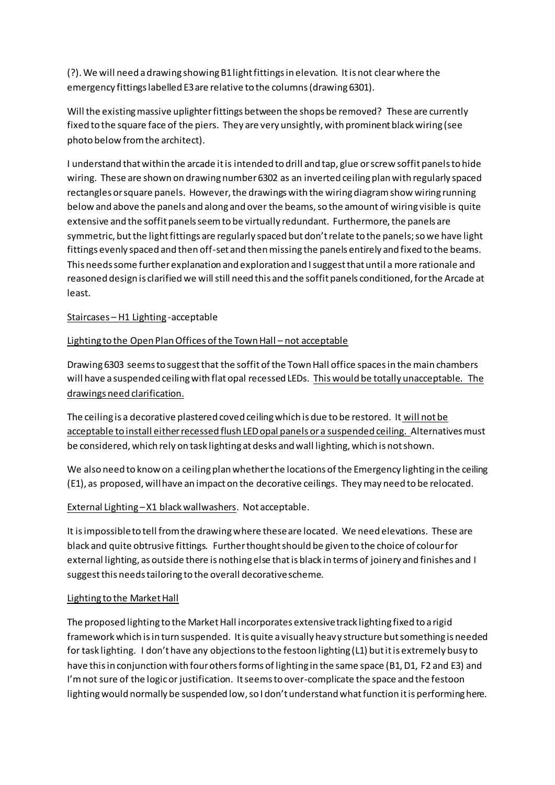(?). We will need a drawing showing B1 light fittings in elevation. It is not clear where the emergency fittings labelled E3 are relative to the columns (drawing 6301).

Will the existing massive uplighter fittings between the shops be removed? These are currently fixed to the square face of the piers. They are very unsightly, with prominent black wiring (see photo below from the architect).

I understand that within the arcade it is intended to drill and tap, glue or screw soffit panels to hide wiring. These are shown on drawing number 6302 as an inverted ceiling plan with regularly spaced rectangles or square panels. However, the drawings with the wiring diagram show wiring running below and above the panels and along and over the beams, so the amount of wiring visible is quite extensive and the soffit panels seem to be virtually redundant. Furthermore, the panels are symmetric, but the light fittings are regularly spaced but don't relate to the panels; so we have light fittings evenly spaced and then off-set and then missing the panels entirely and fixed to the beams. This needs some further explanation and exploration and I suggest that until a more rationale and reasoned design is clarified we will still need this and the soffit panels conditioned, for the Arcade at least.

### Staircases – H1 Lighting -acceptable

### Lighting to the Open Plan Offices of the Town Hall – not acceptable

Drawing 6303 seems to suggest that the soffit of the Town Hall office spaces in the main chambers will have a suspended ceiling with flat opal recessed LEDs. This would be totally unacceptable. The drawings need clarification.

The ceiling is a decorative plastered coved ceiling which is due to be restored. It will not be acceptable to install either recessed flush LED opal panels or a suspended ceiling. Alternatives must be considered, which rely on task lighting at desks and wall lighting, which is not shown.

We also need to know on a ceiling plan whether the locations of the Emergency lighting in the ceiling (E1), as proposed, will have an impact on the decorative ceilings. They may need to be relocated.

#### External Lighting –X1 black wallwashers. Not acceptable.

It is impossible to tell from the drawing where these are located. We need elevations. These are black and quite obtrusive fittings. Further thought should be given to the choice of colour for external lighting, as outside there is nothing else that is black in terms of joinery and finishes and I suggest this needs tailoring to the overall decorative scheme.

#### Lighting to the Market Hall

The proposed lighting to the Market Hall incorporates extensive track lighting fixed to a rigid framework which is in turn suspended. It is quite a visually heavy structure but something is needed for task lighting. I don't have any objections to the festoon lighting (L1) but it is extremely busy to have this in conjunction with four others forms of lighting in the same space (B1, D1, F2 and E3) and I'm not sure of the logic or justification. It seems to over-complicate the space and the festoon lighting would normally be suspended low, so I don't understand what function it is performing here.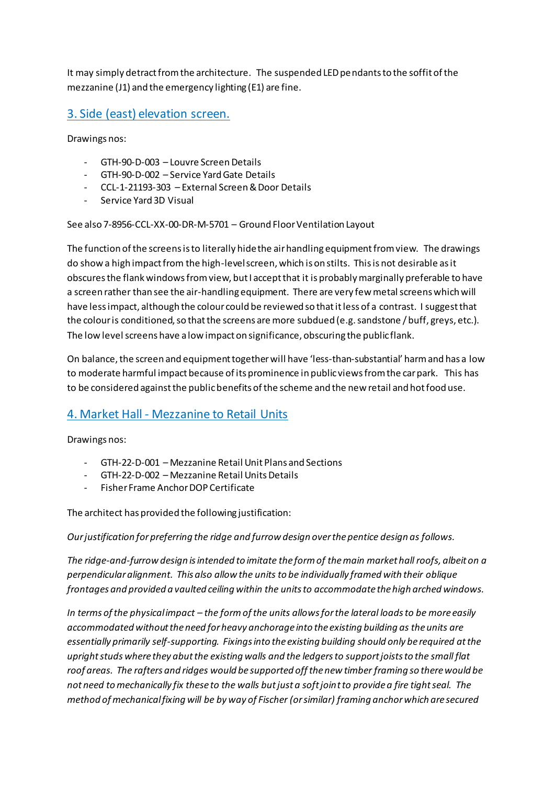It may simply detract from the architecture. The suspended LED pendants to the soffit of the mezzanine (J1) and the emergency lighting (E1) are fine.

# 3. Side (east) elevation screen.

Drawings nos:

- GTH-90-D-003 Louvre Screen Details
- GTH-90-D-002 Service Yard Gate Details
- CCL-1-21193-303 External Screen & Door Details
- Service Yard 3D Visual

See also 7-8956-CCL-XX-00-DR-M-5701 – Ground Floor Ventilation Layout

The function of the screens is to literally hide the air handling equipment from view. The drawings do show a high impact from the high-level screen, which is on stilts. This is not desirable as it obscures the flank windows from view, but I accept that it is probably marginally preferable to have a screen rather than see the air-handling equipment. There are very few metal screens which will have less impact, although the colour could be reviewed so that it less of a contrast. I suggest that the colour is conditioned, so that the screens are more subdued (e.g. sandstone / buff, greys, etc.). The low level screens have a low impact on significance, obscuring the public flank.

On balance, the screen and equipment together will have 'less-than-substantial' harm and has a low to moderate harmful impact because of its prominence in public views from the car park. This has to be considered against the public benefits of the scheme and the new retail and hot food use.

# 4. Market Hall - Mezzanine to Retail Units

Drawings nos:

- GTH-22-D-001 Mezzanine Retail Unit Plans and Sections
- GTH-22-D-002 Mezzanine Retail Units Details
- Fisher Frame Anchor DOP Certificate

The architect has provided the following justification:

*Our justification for preferring the ridge and furrow design over the pentice design as follows.*

*The ridge-and-furrow design is intended to imitate the form of the main market hall roofs, albeit on a perpendicular alignment. This also allow the units to be individually framed with their oblique frontages and provided a vaulted ceiling within the units to accommodate the high arched windows.* 

*In terms of the physical impact – the form of the units allows for the lateral loads to be more easily accommodated without the need for heavy anchorage into the existing building as the units are essentially primarily self-supporting. Fixings into the existing building should only be required at the upright studs where they abut the existing walls and the ledgers to support joists to the small flat roof areas. The rafters and ridges would be supported off the new timber framing so there would be not need to mechanically fix these to the walls but just a soft joint to provide a fire tight seal. The method of mechanical fixing will be by way of Fischer (or similar) framing anchor which are secured*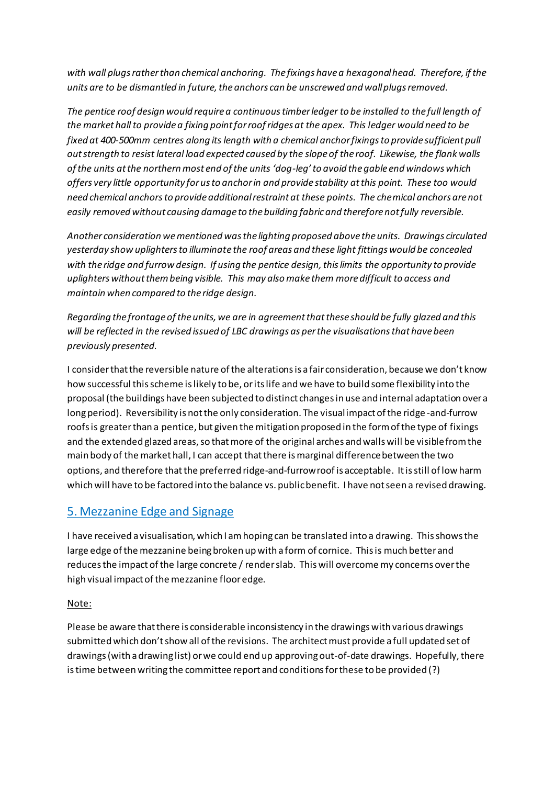*with wall plugs rather than chemical anchoring. The fixings have a hexagonal head. Therefore, if the units are to be dismantled in future, the anchors can be unscrewed and wall plugs removed.*

*The pentice roof design would require a continuous timber ledger to be installed to the full length of the market hall to provide a fixing point for roof ridges at the apex. This ledger would need to be fixed at 400-500mm centres along its length with a chemical anchor fixings to provide sufficient pull out strength to resist lateral load expected caused by the slope of the roof. Likewise, the flank walls of the units at the northern most end of the units 'dog-leg' to avoid the gable end windows which offers very little opportunity for us to anchor in and provide stability at this point. These too would need chemical anchors to provide additional restraint at these points. The chemical anchors are not easily removed without causing damage to the building fabric and therefore not fully reversible.*

*Another consideration we mentioned was the lighting proposed above the units. Drawings circulated yesterday show uplighters to illuminate the roof areas and these light fittings would be concealed with the ridge and furrow design. If using the pentice design, this limits the opportunity to provide uplighters without them being visible. This may also make them more difficult to access and maintain when compared to the ridge design.*

*Regarding the frontage of the units, we are in agreement that these should be fully glazed and this will be reflected in the revised issued of LBC drawings as per the visualisations that have been previously presented.*

I consider that the reversible nature of the alterations is a fair consideration, because we don't know how successful this scheme is likely to be, or its life and we have to build some flexibility into the proposal (the buildings have been subjected to distinct changes in use and internal adaptation over a long period). Reversibility is not the only consideration. The visual impact of the ridge -and-furrow roofs is greater than a pentice, but given the mitigation proposed in the form of the type of fixings and the extended glazed areas, so that more of the original arches and walls will be visible from the main body of the market hall, I can accept that there is marginal difference between the two options, and therefore that the preferred ridge-and-furrow roof is acceptable. It is still of low harm which will have to be factored into the balance vs. public benefit. I have not seen a revised drawing.

# 5. Mezzanine Edge and Signage

I have received a visualisation, which I am hoping can be translated into a drawing. This shows the large edge of the mezzanine being broken up with a form of cornice. This is much better and reduces the impact of the large concrete / render slab. This will overcome my concerns over the high visual impact of the mezzanine floor edge.

### Note:

Please be aware that there is considerable inconsistency in the drawings with various drawings submitted which don't show all of the revisions. The architect must provide a full updated set of drawings (with a drawing list) or we could end up approving out-of-date drawings. Hopefully, there is time between writing the committee report and conditions for these to be provided (?)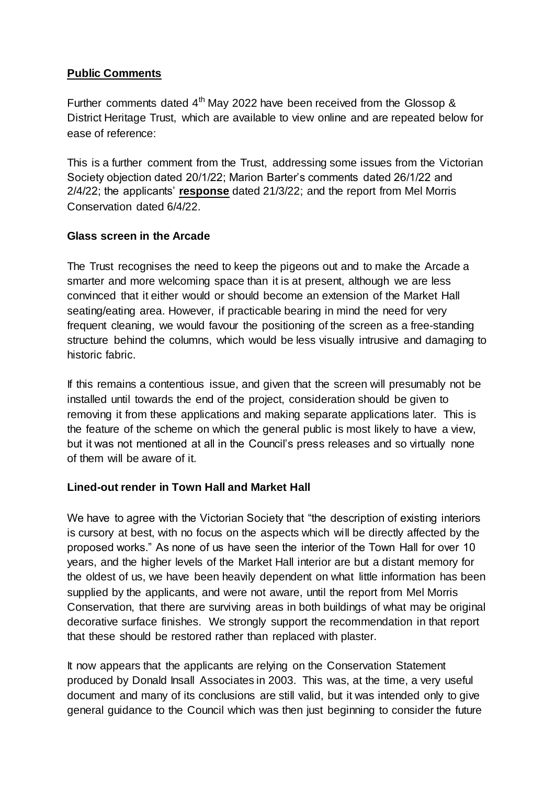## **Public Comments**

Further comments dated  $4<sup>th</sup>$  May 2022 have been received from the Glossop & District Heritage Trust, which are available to view online and are repeated below for ease of reference:

This is a further comment from the Trust, addressing some issues from the Victorian Society objection dated 20/1/22; Marion Barter's comments dated 26/1/22 and 2/4/22; the applicants' **response** dated 21/3/22; and the report from Mel Morris Conservation dated 6/4/22.

## **Glass screen in the Arcade**

The Trust recognises the need to keep the pigeons out and to make the Arcade a smarter and more welcoming space than it is at present, although we are less convinced that it either would or should become an extension of the Market Hall seating/eating area. However, if practicable bearing in mind the need for very frequent cleaning, we would favour the positioning of the screen as a free-standing structure behind the columns, which would be less visually intrusive and damaging to historic fabric.

If this remains a contentious issue, and given that the screen will presumably not be installed until towards the end of the project, consideration should be given to removing it from these applications and making separate applications later. This is the feature of the scheme on which the general public is most likely to have a view, but it was not mentioned at all in the Council's press releases and so virtually none of them will be aware of it.

# **Lined-out render in Town Hall and Market Hall**

We have to agree with the Victorian Society that "the description of existing interiors is cursory at best, with no focus on the aspects which will be directly affected by the proposed works." As none of us have seen the interior of the Town Hall for over 10 years, and the higher levels of the Market Hall interior are but a distant memory for the oldest of us, we have been heavily dependent on what little information has been supplied by the applicants, and were not aware, until the report from Mel Morris Conservation, that there are surviving areas in both buildings of what may be original decorative surface finishes. We strongly support the recommendation in that report that these should be restored rather than replaced with plaster.

It now appears that the applicants are relying on the Conservation Statement produced by Donald Insall Associates in 2003. This was, at the time, a very useful document and many of its conclusions are still valid, but it was intended only to give general guidance to the Council which was then just beginning to consider the future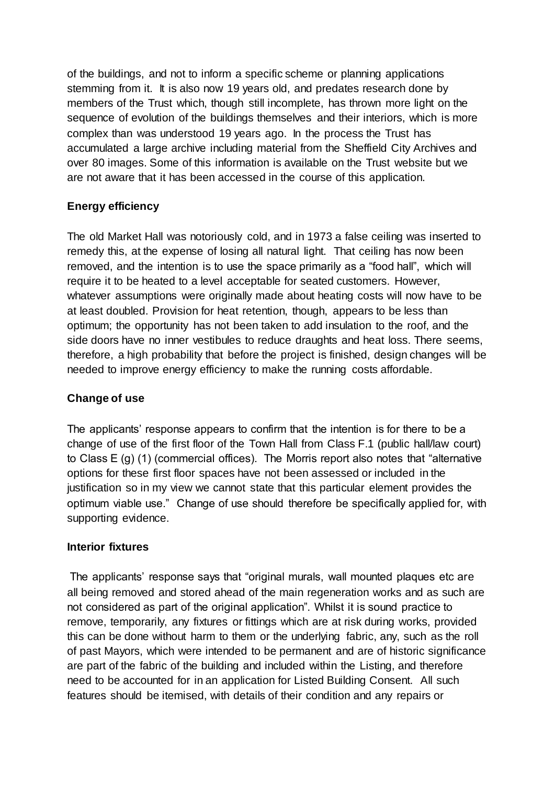of the buildings, and not to inform a specific scheme or planning applications stemming from it. It is also now 19 years old, and predates research done by members of the Trust which, though still incomplete, has thrown more light on the sequence of evolution of the buildings themselves and their interiors, which is more complex than was understood 19 years ago. In the process the Trust has accumulated a large archive including material from the Sheffield City Archives and over 80 images. Some of this information is available on the Trust website but we are not aware that it has been accessed in the course of this application.

# **Energy efficiency**

The old Market Hall was notoriously cold, and in 1973 a false ceiling was inserted to remedy this, at the expense of losing all natural light. That ceiling has now been removed, and the intention is to use the space primarily as a "food hall", which will require it to be heated to a level acceptable for seated customers. However, whatever assumptions were originally made about heating costs will now have to be at least doubled. Provision for heat retention, though, appears to be less than optimum; the opportunity has not been taken to add insulation to the roof, and the side doors have no inner vestibules to reduce draughts and heat loss. There seems, therefore, a high probability that before the project is finished, design changes will be needed to improve energy efficiency to make the running costs affordable.

## **Change of use**

The applicants' response appears to confirm that the intention is for there to be a change of use of the first floor of the Town Hall from Class F.1 (public hall/law court) to Class E (g) (1) (commercial offices). The Morris report also notes that "alternative options for these first floor spaces have not been assessed or included in the justification so in my view we cannot state that this particular element provides the optimum viable use." Change of use should therefore be specifically applied for, with supporting evidence.

## **Interior fixtures**

The applicants' response says that "original murals, wall mounted plaques etc are all being removed and stored ahead of the main regeneration works and as such are not considered as part of the original application". Whilst it is sound practice to remove, temporarily, any fixtures or fittings which are at risk during works, provided this can be done without harm to them or the underlying fabric, any, such as the roll of past Mayors, which were intended to be permanent and are of historic significance are part of the fabric of the building and included within the Listing, and therefore need to be accounted for in an application for Listed Building Consent. All such features should be itemised, with details of their condition and any repairs or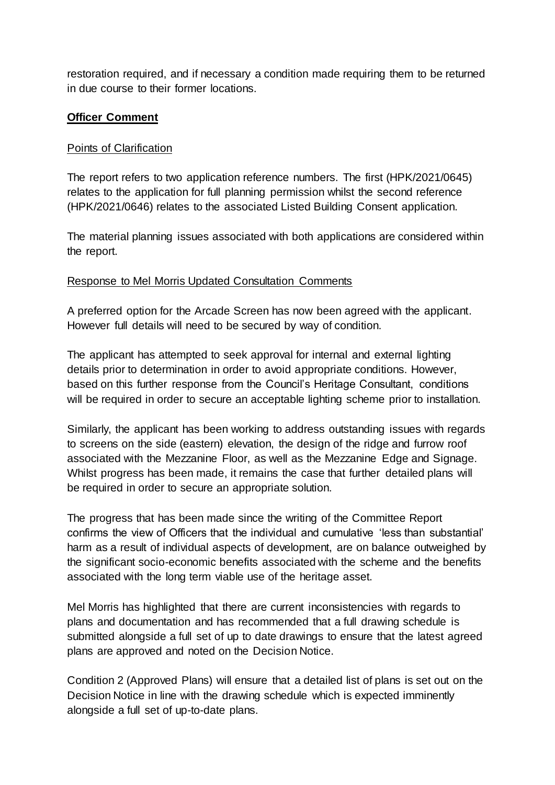restoration required, and if necessary a condition made requiring them to be returned in due course to their former locations.

## **Officer Comment**

## Points of Clarification

The report refers to two application reference numbers. The first (HPK/2021/0645) relates to the application for full planning permission whilst the second reference (HPK/2021/0646) relates to the associated Listed Building Consent application.

The material planning issues associated with both applications are considered within the report.

## Response to Mel Morris Updated Consultation Comments

A preferred option for the Arcade Screen has now been agreed with the applicant. However full details will need to be secured by way of condition.

The applicant has attempted to seek approval for internal and external lighting details prior to determination in order to avoid appropriate conditions. However, based on this further response from the Council's Heritage Consultant, conditions will be required in order to secure an acceptable lighting scheme prior to installation.

Similarly, the applicant has been working to address outstanding issues with regards to screens on the side (eastern) elevation, the design of the ridge and furrow roof associated with the Mezzanine Floor, as well as the Mezzanine Edge and Signage. Whilst progress has been made, it remains the case that further detailed plans will be required in order to secure an appropriate solution.

The progress that has been made since the writing of the Committee Report confirms the view of Officers that the individual and cumulative 'less than substantial' harm as a result of individual aspects of development, are on balance outweighed by the significant socio-economic benefits associated with the scheme and the benefits associated with the long term viable use of the heritage asset.

Mel Morris has highlighted that there are current inconsistencies with regards to plans and documentation and has recommended that a full drawing schedule is submitted alongside a full set of up to date drawings to ensure that the latest agreed plans are approved and noted on the Decision Notice.

Condition 2 (Approved Plans) will ensure that a detailed list of plans is set out on the Decision Notice in line with the drawing schedule which is expected imminently alongside a full set of up-to-date plans.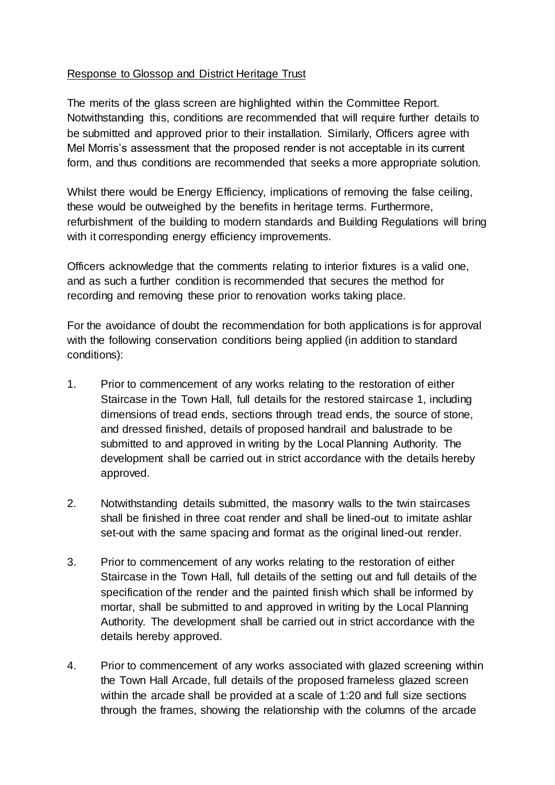## Response to Glossop and District Heritage Trust

The merits of the glass screen are highlighted within the Committee Report. Notwithstanding this, conditions are recommended that will require further details to be submitted and approved prior to their installation. Similarly, Officers agree with Mel Morris's assessment that the proposed render is not acceptable in its current form, and thus conditions are recommended that seeks a more appropriate solution.

Whilst there would be Energy Efficiency, implications of removing the false ceiling, these would be outweighed by the benefits in heritage terms. Furthermore, refurbishment of the building to modern standards and Building Regulations will bring with it corresponding energy efficiency improvements.

Officers acknowledge that the comments relating to interior fixtures is a valid one, and as such a further condition is recommended that secures the method for recording and removing these prior to renovation works taking place.

For the avoidance of doubt the recommendation for both applications is for approval with the following conservation conditions being applied (in addition to standard conditions):

- 1. Prior to commencement of any works relating to the restoration of either Staircase in the Town Hall, full details for the restored staircase 1, including dimensions of tread ends, sections through tread ends, the source of stone, and dressed finished, details of proposed handrail and balustrade to be submitted to and approved in writing by the Local Planning Authority. The development shall be carried out in strict accordance with the details hereby approved.
- 2. Notwithstanding details submitted, the masonry walls to the twin staircases shall be finished in three coat render and shall be lined-out to imitate ashlar set-out with the same spacing and format as the original lined-out render.
- 3. Prior to commencement of any works relating to the restoration of either Staircase in the Town Hall, full details of the setting out and full details of the specification of the render and the painted finish which shall be informed by mortar, shall be submitted to and approved in writing by the Local Planning Authority. The development shall be carried out in strict accordance with the details hereby approved.
- 4. Prior to commencement of any works associated with glazed screening within the Town Hall Arcade, full details of the proposed frameless glazed screen within the arcade shall be provided at a scale of 1:20 and full size sections through the frames, showing the relationship with the columns of the arcade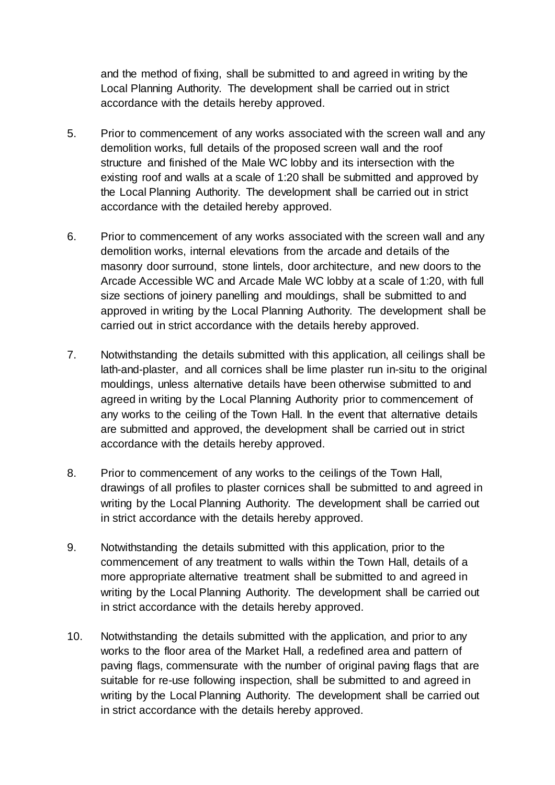and the method of fixing, shall be submitted to and agreed in writing by the Local Planning Authority. The development shall be carried out in strict accordance with the details hereby approved.

- 5. Prior to commencement of any works associated with the screen wall and any demolition works, full details of the proposed screen wall and the roof structure and finished of the Male WC lobby and its intersection with the existing roof and walls at a scale of 1:20 shall be submitted and approved by the Local Planning Authority. The development shall be carried out in strict accordance with the detailed hereby approved.
- 6. Prior to commencement of any works associated with the screen wall and any demolition works, internal elevations from the arcade and details of the masonry door surround, stone lintels, door architecture, and new doors to the Arcade Accessible WC and Arcade Male WC lobby at a scale of 1:20, with full size sections of joinery panelling and mouldings, shall be submitted to and approved in writing by the Local Planning Authority. The development shall be carried out in strict accordance with the details hereby approved.
- 7. Notwithstanding the details submitted with this application, all ceilings shall be lath-and-plaster, and all cornices shall be lime plaster run in-situ to the original mouldings, unless alternative details have been otherwise submitted to and agreed in writing by the Local Planning Authority prior to commencement of any works to the ceiling of the Town Hall. In the event that alternative details are submitted and approved, the development shall be carried out in strict accordance with the details hereby approved.
- 8. Prior to commencement of any works to the ceilings of the Town Hall, drawings of all profiles to plaster cornices shall be submitted to and agreed in writing by the Local Planning Authority. The development shall be carried out in strict accordance with the details hereby approved.
- 9. Notwithstanding the details submitted with this application, prior to the commencement of any treatment to walls within the Town Hall, details of a more appropriate alternative treatment shall be submitted to and agreed in writing by the Local Planning Authority. The development shall be carried out in strict accordance with the details hereby approved.
- 10. Notwithstanding the details submitted with the application, and prior to any works to the floor area of the Market Hall, a redefined area and pattern of paving flags, commensurate with the number of original paving flags that are suitable for re-use following inspection, shall be submitted to and agreed in writing by the Local Planning Authority. The development shall be carried out in strict accordance with the details hereby approved.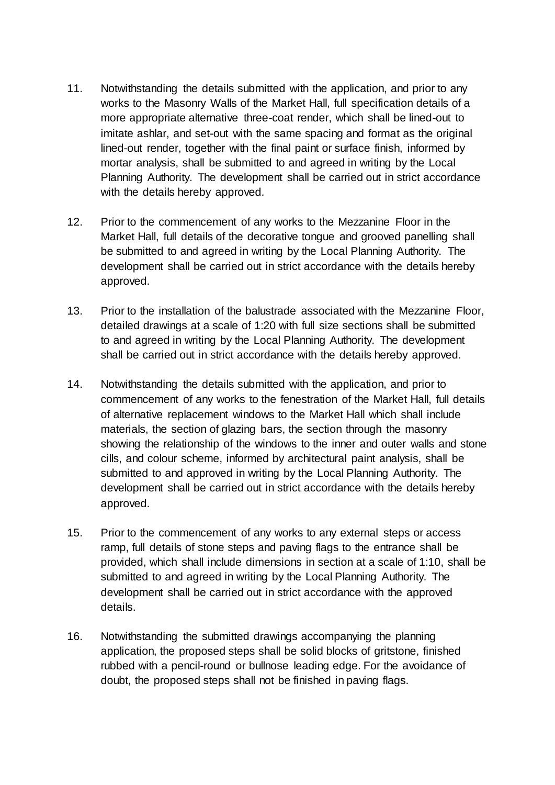- 11. Notwithstanding the details submitted with the application, and prior to any works to the Masonry Walls of the Market Hall, full specification details of a more appropriate alternative three-coat render, which shall be lined-out to imitate ashlar, and set-out with the same spacing and format as the original lined-out render, together with the final paint or surface finish, informed by mortar analysis, shall be submitted to and agreed in writing by the Local Planning Authority. The development shall be carried out in strict accordance with the details hereby approved.
- 12. Prior to the commencement of any works to the Mezzanine Floor in the Market Hall, full details of the decorative tongue and grooved panelling shall be submitted to and agreed in writing by the Local Planning Authority. The development shall be carried out in strict accordance with the details hereby approved.
- 13. Prior to the installation of the balustrade associated with the Mezzanine Floor, detailed drawings at a scale of 1:20 with full size sections shall be submitted to and agreed in writing by the Local Planning Authority. The development shall be carried out in strict accordance with the details hereby approved.
- 14. Notwithstanding the details submitted with the application, and prior to commencement of any works to the fenestration of the Market Hall, full details of alternative replacement windows to the Market Hall which shall include materials, the section of glazing bars, the section through the masonry showing the relationship of the windows to the inner and outer walls and stone cills, and colour scheme, informed by architectural paint analysis, shall be submitted to and approved in writing by the Local Planning Authority. The development shall be carried out in strict accordance with the details hereby approved.
- 15. Prior to the commencement of any works to any external steps or access ramp, full details of stone steps and paving flags to the entrance shall be provided, which shall include dimensions in section at a scale of 1:10, shall be submitted to and agreed in writing by the Local Planning Authority. The development shall be carried out in strict accordance with the approved details.
- 16. Notwithstanding the submitted drawings accompanying the planning application, the proposed steps shall be solid blocks of gritstone, finished rubbed with a pencil-round or bullnose leading edge. For the avoidance of doubt, the proposed steps shall not be finished in paving flags.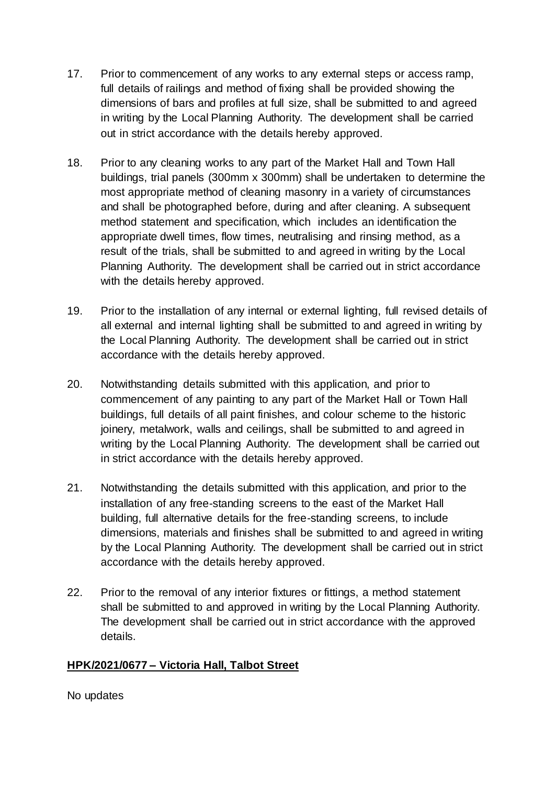- 17. Prior to commencement of any works to any external steps or access ramp, full details of railings and method of fixing shall be provided showing the dimensions of bars and profiles at full size, shall be submitted to and agreed in writing by the Local Planning Authority. The development shall be carried out in strict accordance with the details hereby approved.
- 18. Prior to any cleaning works to any part of the Market Hall and Town Hall buildings, trial panels (300mm x 300mm) shall be undertaken to determine the most appropriate method of cleaning masonry in a variety of circumstances and shall be photographed before, during and after cleaning. A subsequent method statement and specification, which includes an identification the appropriate dwell times, flow times, neutralising and rinsing method, as a result of the trials, shall be submitted to and agreed in writing by the Local Planning Authority. The development shall be carried out in strict accordance with the details hereby approved.
- 19. Prior to the installation of any internal or external lighting, full revised details of all external and internal lighting shall be submitted to and agreed in writing by the Local Planning Authority. The development shall be carried out in strict accordance with the details hereby approved.
- 20. Notwithstanding details submitted with this application, and prior to commencement of any painting to any part of the Market Hall or Town Hall buildings, full details of all paint finishes, and colour scheme to the historic joinery, metalwork, walls and ceilings, shall be submitted to and agreed in writing by the Local Planning Authority. The development shall be carried out in strict accordance with the details hereby approved.
- 21. Notwithstanding the details submitted with this application, and prior to the installation of any free-standing screens to the east of the Market Hall building, full alternative details for the free-standing screens, to include dimensions, materials and finishes shall be submitted to and agreed in writing by the Local Planning Authority. The development shall be carried out in strict accordance with the details hereby approved.
- 22. Prior to the removal of any interior fixtures or fittings, a method statement shall be submitted to and approved in writing by the Local Planning Authority. The development shall be carried out in strict accordance with the approved details.

## **HPK/2021/0677 – Victoria Hall, Talbot Street**

No updates